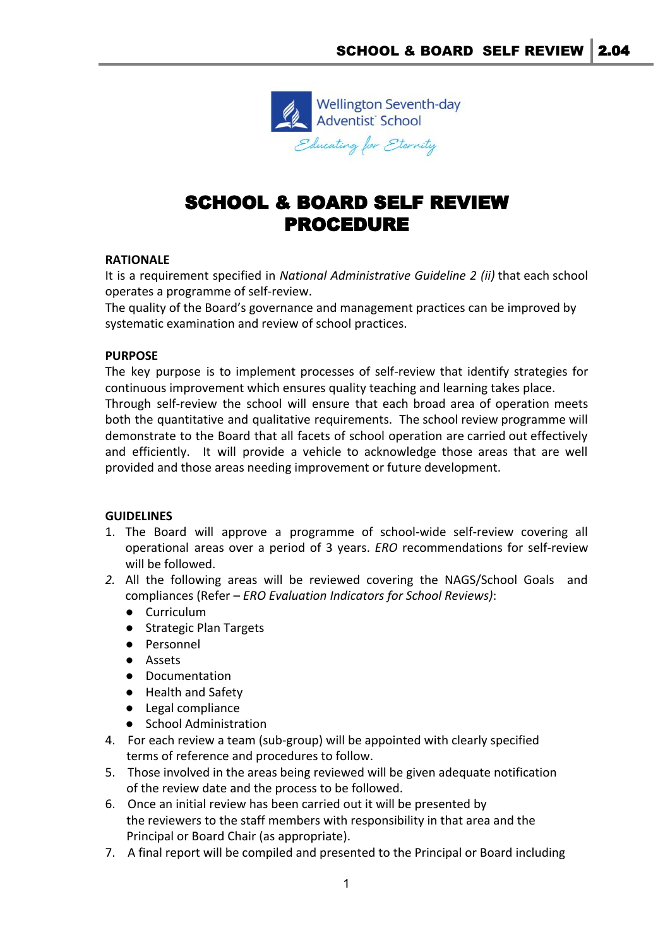

# SCHOOL & BOARD SELF REVIEW PROCEDURE

# **RATIONALE**

It is a requirement specified in *National Administrative Guideline 2 (ii)* that each school operates a programme of self-review.

The quality of the Board's governance and management practices can be improved by systematic examination and review of school practices.

### **PURPOSE**

The key purpose is to implement processes of self-review that identify strategies for continuous improvement which ensures quality teaching and learning takes place. Through self-review the school will ensure that each broad area of operation meets both the quantitative and qualitative requirements. The school review programme will demonstrate to the Board that all facets of school operation are carried out effectively and efficiently. It will provide a vehicle to acknowledge those areas that are well provided and those areas needing improvement or future development.

### **GUIDELINES**

- 1. The Board will approve a programme of school-wide self-review covering all operational areas over a period of 3 years. *ERO* recommendations for self-review will be followed.
- *2.* All the following areas will be reviewed covering the NAGS/School Goals and compliances (Refer – *ERO Evaluation Indicators for School Reviews)*:
	- Curriculum
	- Strategic Plan Targets
	- Personnel
	- Assets
	- Documentation
	- Health and Safety
	- Legal compliance
	- School Administration
- 4. For each review a team (sub-group) will be appointed with clearly specified terms of reference and procedures to follow.
- 5. Those involved in the areas being reviewed will be given adequate notification of the review date and the process to be followed.
- 6. Once an initial review has been carried out it will be presented by the reviewers to the staff members with responsibility in that area and the Principal or Board Chair (as appropriate).
- 7. A final report will be compiled and presented to the Principal or Board including